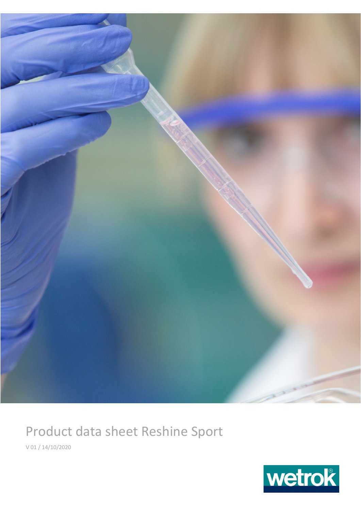

## Product data sheet Reshine Sport

V 01 / 14/10/2020

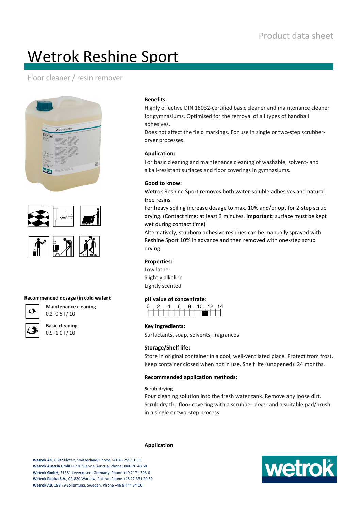# Wetrok Reshine Sport

### Floor cleaner / resin remover





#### **Recommended dosage (in cold water):**



**Maintenance cleaning**  $0.2 - 0.5$  | / 10 |

**Basic cleaning**  $0.5 - 1.0$  |  $/ 10$  |

#### **Benefits:**

Highly effective DIN 18032‐certified basic cleaner and maintenance cleaner for gymnasiums. Optimised for the removal of all types of handball adhesives.

Does not affect the field markings. For use in single or two‐step scrubber‐ dryer processes.

#### **Application:**

For basic cleaning and maintenance cleaning of washable, solvent‐ and alkali-resistant surfaces and floor coverings in gymnasiums.

#### **Good to know:**

Wetrok Reshine Sport removes both water‐soluble adhesives and natural tree resins.

For heavy soiling increase dosage to max. 10% and/or opt for 2‐step scrub drying. (Contact time: at least 3 minutes. **Important:** surface must be kept wet during contact time)

Alternatively, stubborn adhesive residues can be manually sprayed with Reshine Sport 10% in advance and then removed with one‐step scrub drying.

#### **Properties:**

 $\mathsf{r}$ 

Low lather Slightly alkaline Lightly scented

#### **pH value of concentrate:**

|  |  |  | ฅ |  | 10 |   | 12.    |  |
|--|--|--|---|--|----|---|--------|--|
|  |  |  |   |  |    | п | $\Box$ |  |
|  |  |  |   |  |    |   |        |  |

#### **Key ingredients:**

Surfactants, soap, solvents, fragrances

#### **Storage/Shelf life:**

Store in original container in a cool, well-ventilated place. Protect from frost. Keep container closed when not in use. Shelf life (unopened): 24 months.

#### **Recommended application methods:**

#### **Scrub drying**

Pour cleaning solution into the fresh water tank. Remove any loose dirt. Scrub dry the floor covering with a scrubber‐dryer and a suitable pad/brush in a single or two‐step process.

#### **Application**

**Wetrok AG**, 8302 Kloten, Switzerland, Phone +41 43 255 51 51 **Wetrok Austria GmbH** 1230 Vienna, Austria, Phone 0800 20 48 68 **Wetrok GmbH**, 51381 Leverkusen, Germany, Phone +49 2171 398‐0 **Wetrok Polska S.A.**, 02‐820 Warsaw, Poland, Phone +48 22 331 20 50 **Wetrok AB**, 192 79 Sollentuna, Sweden, Phone +46 8 444 34 00